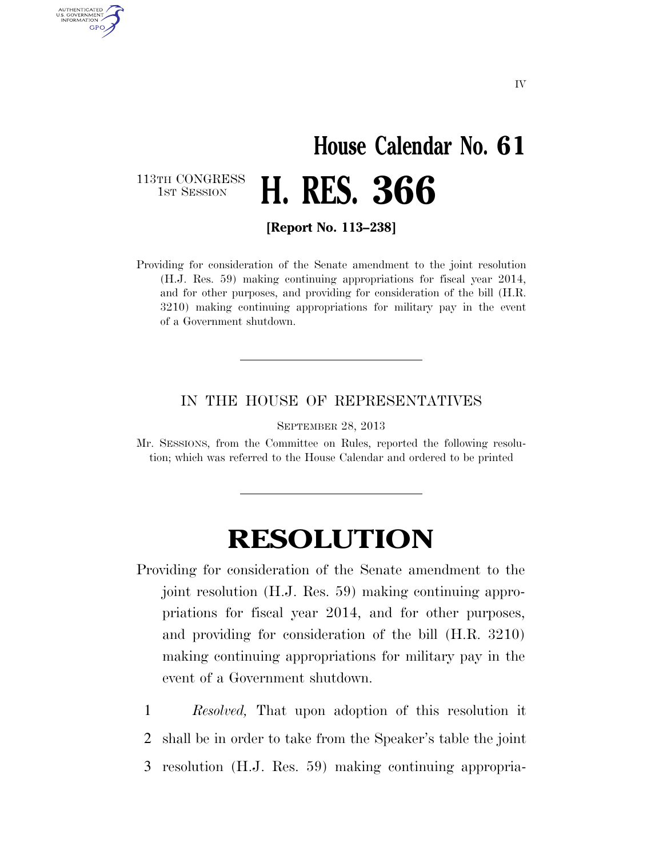## **House Calendar No. 61**  1ST SESSION **H. RES. 366**

113TH CONGRESS<br>1st Session

AUTHENTICATED U.S. GOVERNMENT **GPO** 

**[Report No. 113–238]** 

Providing for consideration of the Senate amendment to the joint resolution (H.J. Res. 59) making continuing appropriations for fiscal year 2014, and for other purposes, and providing for consideration of the bill (H.R. 3210) making continuing appropriations for military pay in the event of a Government shutdown.

## IN THE HOUSE OF REPRESENTATIVES

SEPTEMBER 28, 2013

Mr. SESSIONS, from the Committee on Rules, reported the following resolution; which was referred to the House Calendar and ordered to be printed

## **RESOLUTION**

- Providing for consideration of the Senate amendment to the joint resolution (H.J. Res. 59) making continuing appropriations for fiscal year 2014, and for other purposes, and providing for consideration of the bill (H.R. 3210) making continuing appropriations for military pay in the event of a Government shutdown.
	- 1 *Resolved,* That upon adoption of this resolution it
	- 2 shall be in order to take from the Speaker's table the joint
	- 3 resolution (H.J. Res. 59) making continuing appropria-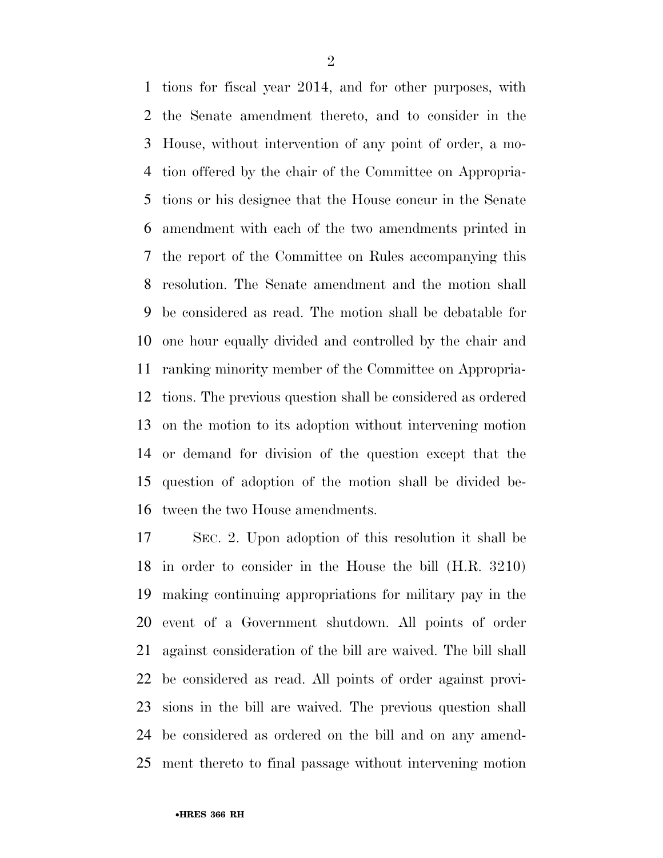tions for fiscal year 2014, and for other purposes, with the Senate amendment thereto, and to consider in the House, without intervention of any point of order, a mo- tion offered by the chair of the Committee on Appropria- tions or his designee that the House concur in the Senate amendment with each of the two amendments printed in the report of the Committee on Rules accompanying this resolution. The Senate amendment and the motion shall be considered as read. The motion shall be debatable for one hour equally divided and controlled by the chair and ranking minority member of the Committee on Appropria- tions. The previous question shall be considered as ordered on the motion to its adoption without intervening motion or demand for division of the question except that the question of adoption of the motion shall be divided be-tween the two House amendments.

 SEC. 2. Upon adoption of this resolution it shall be in order to consider in the House the bill (H.R. 3210) making continuing appropriations for military pay in the event of a Government shutdown. All points of order against consideration of the bill are waived. The bill shall be considered as read. All points of order against provi- sions in the bill are waived. The previous question shall be considered as ordered on the bill and on any amend-ment thereto to final passage without intervening motion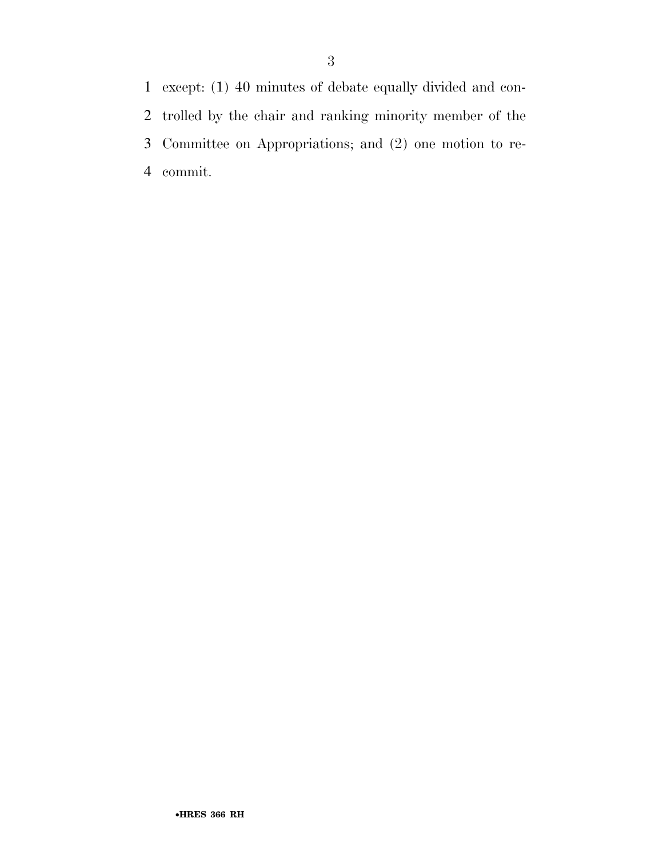except: (1) 40 minutes of debate equally divided and con- trolled by the chair and ranking minority member of the Committee on Appropriations; and (2) one motion to re-commit.